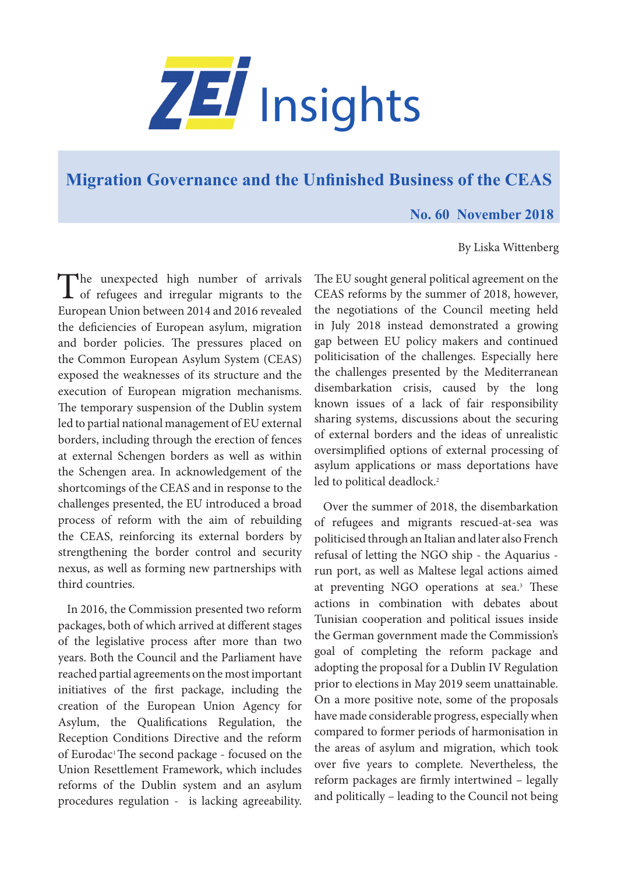

## **[Migration Governance and the Unfinished Business of the CEAS](https://www.zei.uni-bonn.de/publications/zei-insights)**

## **No. 60 November 2018**

## By Liska Wittenberg

The unexpected high number of arrivals<br>of refugees and irregular migrants to the European Union between 2014 and 2016 revealed the deficiencies of European asylum, migration and border policies. The pressures placed on the Common European Asylum System (CEAS) exposed the weaknesses of its structure and the execution of European migration mechanisms. The temporary suspension of the Dublin system led to partial national management of EU external borders, including through the erection of fences at external Schengen borders as well as within the Schengen area. In acknowledgement of the shortcomings of the CEAS and in response to the challenges presented, the EU introduced a broad process of reform with the aim of rebuilding the CEAS, reinforcing its external borders by strengthening the border control and security nexus, as well as forming new partnerships with third countries.

In 2016, the Commission presented two reform packages, both of which arrived at different stages of the legislative process after more than two years. Both the Council and the Parliament have reached partial agreements on the most important initiatives of the first package, including the creation of the European Union Agency for Asylum, the Qualifications Regulation, the Reception Conditions Directive and the reform of Eurodac<sup>1</sup> The second package - focused on the Union Resettlement Framework, which includes reforms of the Dublin system and an asylum procedures regulation - is lacking agreeability.

The EU sought general political agreement on the CEAS reforms by the summer of 2018, however, the negotiations of the Council meeting held in July 2018 instead demonstrated a growing gap between EU policy makers and continued politicisation of the challenges. Especially here the challenges presented by the Mediterranean disembarkation crisis, caused by the long known issues of a lack of fair responsibility sharing systems, discussions about the securing of external borders and the ideas of unrealistic oversimplified options of external processing of asylum applications or mass deportations have led to political deadlock.<sup>2</sup>

Over the summer of 2018, the disembarkation of refugees and migrants rescued-at-sea was politicised through an Italian and later also French refusal of letting the NGO ship - the Aquarius run port, as well as Maltese legal actions aimed at preventing NGO operations at sea.3 These actions in combination with debates about Tunisian cooperation and political issues inside the German government made the Commission's goal of completing the reform package and adopting the proposal for a Dublin IV Regulation prior to elections in May 2019 seem unattainable. On a more positive note, some of the proposals have made considerable progress, especially when compared to former periods of harmonisation in the areas of asylum and migration, which took over five years to complete. Nevertheless, the reform packages are firmly intertwined – legally and politically – leading to the Council not being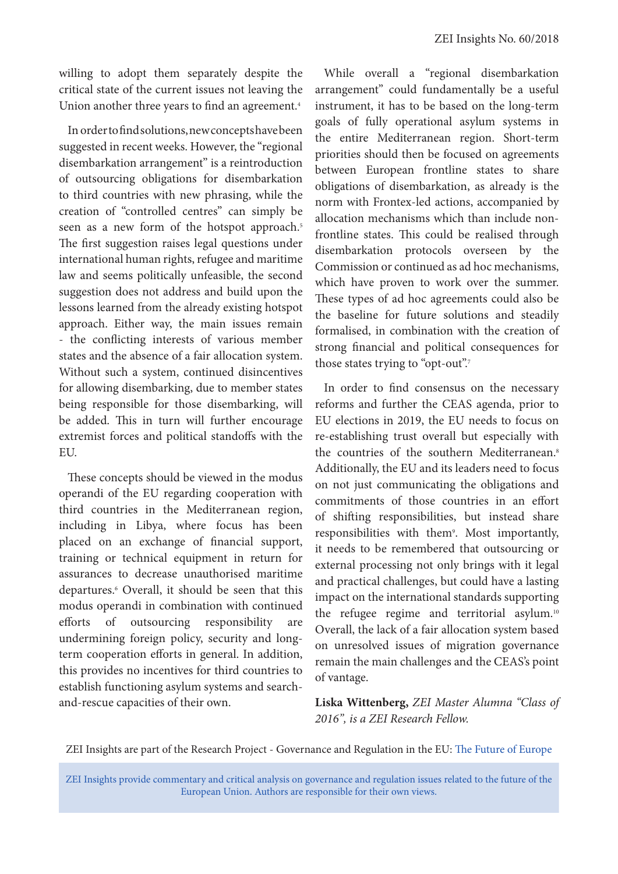willing to adopt them separately despite the critical state of the current issues not leaving the Union another three years to find an agreement.<sup>4</sup>

In order to find solutions, new concepts have been suggested in recent weeks. However, the "regional disembarkation arrangement" is a reintroduction of outsourcing obligations for disembarkation to third countries with new phrasing, while the creation of "controlled centres" can simply be seen as a new form of the hotspot approach.<sup>5</sup> The first suggestion raises legal questions under international human rights, refugee and maritime law and seems politically unfeasible, the second suggestion does not address and build upon the lessons learned from the already existing hotspot approach. Either way, the main issues remain - the conflicting interests of various member states and the absence of a fair allocation system. Without such a system, continued disincentives for allowing disembarking, due to member states being responsible for those disembarking, will be added. This in turn will further encourage extremist forces and political standoffs with the **EU** 

These concepts should be viewed in the modus operandi of the EU regarding cooperation with third countries in the Mediterranean region, including in Libya, where focus has been placed on an exchange of financial support, training or technical equipment in return for assurances to decrease unauthorised maritime departures.6 Overall, it should be seen that this modus operandi in combination with continued efforts of outsourcing responsibility are undermining foreign policy, security and longterm cooperation efforts in general. In addition, this provides no incentives for third countries to establish functioning asylum systems and searchand-rescue capacities of their own.

While overall a "regional disembarkation arrangement" could fundamentally be a useful instrument, it has to be based on the long-term goals of fully operational asylum systems in the entire Mediterranean region. Short-term priorities should then be focused on agreements between European frontline states to share obligations of disembarkation, as already is the norm with Frontex-led actions, accompanied by allocation mechanisms which than include nonfrontline states. This could be realised through disembarkation protocols overseen by the Commission or continued as ad hoc mechanisms, which have proven to work over the summer. These types of ad hoc agreements could also be the baseline for future solutions and steadily formalised, in combination with the creation of strong financial and political consequences for those states trying to "opt-out".7

In order to find consensus on the necessary reforms and further the CEAS agenda, prior to EU elections in 2019, the EU needs to focus on re-establishing trust overall but especially with the countries of the southern Mediterranean.<sup>8</sup> Additionally, the EU and its leaders need to focus on not just communicating the obligations and commitments of those countries in an effort of shifting responsibilities, but instead share responsibilities with them<sup>9</sup>. Most importantly, it needs to be remembered that outsourcing or external processing not only brings with it legal and practical challenges, but could have a lasting impact on the international standards supporting the refugee regime and territorial asylum.<sup>10</sup> Overall, the lack of a fair allocation system based on unresolved issues of migration governance remain the main challenges and the CEAS's point of vantage.

**Liska Wittenberg,** *ZEI Master Alumna "Class of 2016", is a ZEI Research Fellow.* 

ZEI Insights are part of the Research Project - Governance and Regulation in the EU: [The Future of Europe](https://www.zei.uni-bonn.de/research/governance-and-regulation?set_language=en)

ZEI Insights provide commentary and critical analysis on governance and regulation issues related to the future of the European Union. Authors are responsible for their own views.